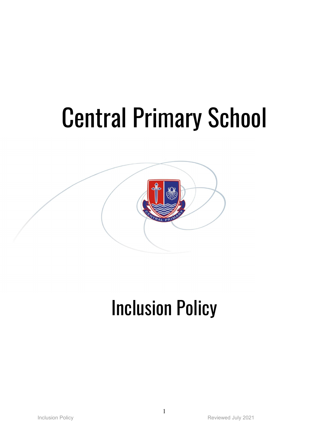# Central Primary School



# Inclusion Policy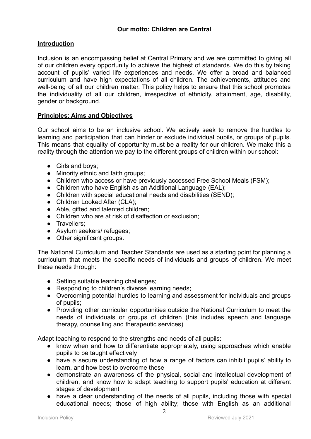# **Our motto: Children are Central**

#### **Introduction**

Inclusion is an encompassing belief at Central Primary and we are committed to giving all of our children every opportunity to achieve the highest of standards. We do this by taking account of pupils' varied life experiences and needs. We offer a broad and balanced curriculum and have high expectations of all children. The achievements, attitudes and well-being of all our children matter. This policy helps to ensure that this school promotes the individuality of all our children, irrespective of ethnicity, attainment, age, disability, gender or background.

#### **Principles: Aims and Objectives**

Our school aims to be an inclusive school. We actively seek to remove the hurdles to learning and participation that can hinder or exclude individual pupils, or groups of pupils. This means that equality of opportunity must be a reality for our children. We make this a reality through the attention we pay to the different groups of children within our school:

- Girls and boys;
- Minority ethnic and faith groups;
- Children who access or have previously accessed Free School Meals (FSM);
- Children who have English as an Additional Language (EAL);
- Children with special educational needs and disabilities (SEND);
- Children Looked After (CLA):
- Able, gifted and talented children;
- Children who are at risk of disaffection or exclusion;
- Travellers;
- Asylum seekers/ refugees;
- Other significant groups.

The National Curriculum and Teacher Standards are used as a starting point for planning a curriculum that meets the specific needs of individuals and groups of children. We meet these needs through:

- Setting suitable learning challenges;
- Responding to children's diverse learning needs;
- Overcoming potential hurdles to learning and assessment for individuals and groups of pupils;
- Providing other curricular opportunities outside the National Curriculum to meet the needs of individuals or groups of children (this includes speech and language therapy, counselling and therapeutic services)

Adapt teaching to respond to the strengths and needs of all pupils:

- know when and how to differentiate appropriately, using approaches which enable pupils to be taught effectively
- have a secure understanding of how a range of factors can inhibit pupils' ability to learn, and how best to overcome these
- demonstrate an awareness of the physical, social and intellectual development of children, and know how to adapt teaching to support pupils' education at different stages of development
- have a clear understanding of the needs of all pupils, including those with special educational needs; those of high ability; those with English as an additional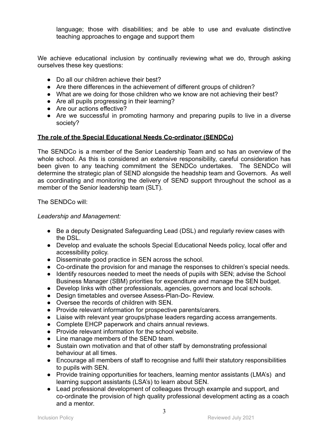language; those with disabilities; and be able to use and evaluate distinctive teaching approaches to engage and support them

We achieve educational inclusion by continually reviewing what we do, through asking ourselves these key questions:

- Do all our children achieve their best?
- Are there differences in the achievement of different groups of children?
- What are we doing for those children who we know are not achieving their best?
- Are all pupils progressing in their learning?
- Are our actions effective?
- Are we successful in promoting harmony and preparing pupils to live in a diverse society?

#### **The role of the Special Educational Needs Co-ordinator (SENDCo)**

The SENDCo is a member of the Senior Leadership Team and so has an overview of the whole school. As this is considered an extensive responsibility, careful consideration has been given to any teaching commitment the SENDCo undertakes. The SENDCo will determine the strategic plan of SEND alongside the headship team and Governors. As well as coordinating and monitoring the delivery of SEND support throughout the school as a member of the Senior leadership team (SLT).

The SENDCo will:

#### *Leadership and Management:*

- Be a deputy Designated Safeguarding Lead (DSL) and regularly review cases with the DSL.
- **●** Develop and evaluate the schools Special Educational Needs policy, local offer and accessibility policy.
- Disseminate good practice in SEN across the school.
- Co-ordinate the provision for and manage the responses to children's special needs.
- Identify resources needed to meet the needs of pupils with SEN; advise the School Business Manager (SBM) priorities for expenditure and manage the SEN budget.
- Develop links with other professionals, agencies, governors and local schools.
- Design timetables and oversee Assess-Plan-Do- Review.
- Oversee the records of children with SEN.
- Provide relevant information for prospective parents/carers.
- Liaise with relevant year groups/phase leaders regarding access arrangements.
- Complete EHCP paperwork and chairs annual reviews.
- Provide relevant information for the school website.
- Line manage members of the SEND team.
- Sustain own motivation and that of other staff by demonstrating professional behaviour at all times.
- Encourage all members of staff to recognise and fulfil their statutory responsibilities to pupils with SEN.
- Provide training opportunities for teachers, learning mentor assistants (LMA's) and learning support assistants (LSA's) to learn about SEN.
- Lead professional development of colleagues through example and support, and co-ordinate the provision of high quality professional development acting as a coach and a mentor.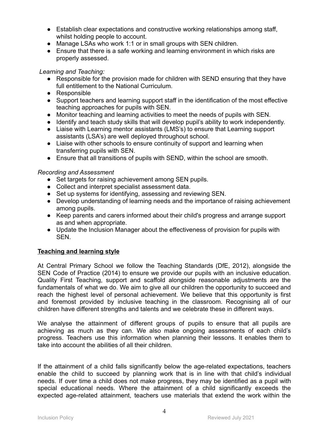- Establish clear expectations and constructive working relationships among staff, whilst holding people to account.
- Manage LSAs who work 1:1 or in small groups with SEN children.
- Ensure that there is a safe working and learning environment in which risks are properly assessed.

#### *Learning and Teaching:*

- Responsible for the provision made for children with SEND ensuring that they have full entitlement to the National Curriculum.
- Responsible
- Support teachers and learning support staff in the identification of the most effective teaching approaches for pupils with SEN.
- Monitor teaching and learning activities to meet the needs of pupils with SEN.
- Identify and teach study skills that will develop pupil's ability to work independently.
- Liaise with Learning mentor assistants (LMS's) to ensure that Learning support assistants (LSA's) are well deployed throughout school.
- Liaise with other schools to ensure continuity of support and learning when transferring pupils with SEN.
- Ensure that all transitions of pupils with SEND, within the school are smooth.

#### *Recording and Assessment*

- Set targets for raising achievement among SEN pupils.
- Collect and interpret specialist assessment data.
- Set up systems for identifying, assessing and reviewing SEN.
- Develop understanding of learning needs and the importance of raising achievement among pupils.
- Keep parents and carers informed about their child's progress and arrange support as and when appropriate.
- Update the Inclusion Manager about the effectiveness of provision for pupils with SEN.

# **Teaching and learning style**

At Central Primary School we follow the Teaching Standards (DfE, 2012), alongside the SEN Code of Practice (2014) to ensure we provide our pupils with an inclusive education. Quality First Teaching, support and scaffold alongside reasonable adjustments are the fundamentals of what we do. We aim to give all our children the opportunity to succeed and reach the highest level of personal achievement. We believe that this opportunity is first and foremost provided by inclusive teaching in the classroom. Recognising all of our children have different strengths and talents and we celebrate these in different ways.

We analyse the attainment of different groups of pupils to ensure that all pupils are achieving as much as they can. We also make ongoing assessments of each child's progress. Teachers use this information when planning their lessons. It enables them to take into account the abilities of all their children.

If the attainment of a child falls significantly below the age-related expectations, teachers enable the child to succeed by planning work that is in line with that child's individual needs. If over time a child does not make progress, they may be identified as a pupil with special educational needs. Where the attainment of a child significantly exceeds the expected age-related attainment, teachers use materials that extend the work within the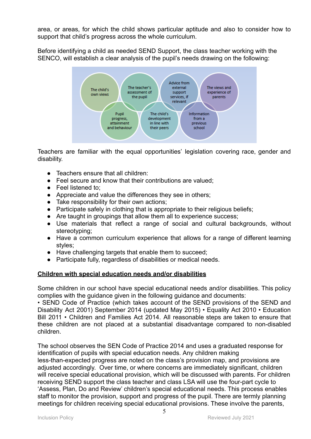area, or areas, for which the child shows particular aptitude and also to consider how to support that child's progress across the whole curriculum.

Before identifying a child as needed SEND Support, the class teacher working with the SENCO, will establish a clear analysis of the pupil's needs drawing on the following:



Teachers are familiar with the equal opportunities' legislation covering race, gender and disability.

- Teachers ensure that all children:
- Feel secure and know that their contributions are valued:
- Feel listened to:
- Appreciate and value the differences they see in others;
- Take responsibility for their own actions;
- Participate safely in clothing that is appropriate to their religious beliefs;
- Are taught in groupings that allow them all to experience success;
- Use materials that reflect a range of social and cultural backgrounds, without stereotyping;
- Have a common curriculum experience that allows for a range of different learning styles;
- Have challenging targets that enable them to succeed;
- Participate fully, regardless of disabilities or medical needs.

#### **Children with special education needs and/or disabilities**

Some children in our school have special educational needs and/or disabilities. This policy complies with the guidance given in the following guidance and documents:

• SEND Code of Practice (which takes account of the SEND provisions of the SEND and Disability Act 2001) September 2014 (updated May 2015) • Equality Act 2010 • Education Bill 2011 • Children and Families Act 2014. All reasonable steps are taken to ensure that these children are not placed at a substantial disadvantage compared to non-disabled children.

The school observes the SEN Code of Practice 2014 and uses a graduated response for identification of pupils with special education needs. Any children making less-than-expected progress are noted on the class's provision map, and provisions are adjusted accordingly. Over time, or where concerns are immediately significant, children will receive special educational provision, which will be discussed with parents. For children receiving SEND support the class teacher and class LSA will use the four-part cycle to 'Assess, Plan, Do and Review' children's special educational needs. This process enables staff to monitor the provision, support and progress of the pupil. There are termly planning meetings for children receiving special educational provisions. These involve the parents,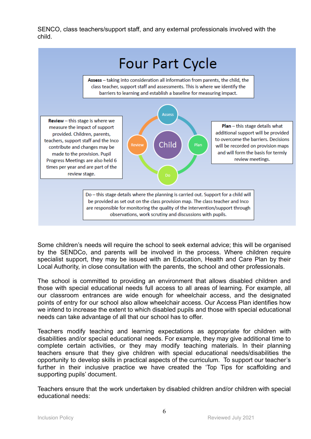SENCO, class teachers/support staff, and any external professionals involved with the child.



Some children's needs will require the school to seek external advice; this will be organised by the SENDCo, and parents will be involved in the process. Where children require specialist support, they may be issued with an Education, Health and Care Plan by their Local Authority, in close consultation with the parents, the school and other professionals.

The school is committed to providing an environment that allows disabled children and those with special educational needs full access to all areas of learning. For example, all our classroom entrances are wide enough for wheelchair access, and the designated points of entry for our school also allow wheelchair access. Our Access Plan identifies how we intend to increase the extent to which disabled pupils and those with special educational needs can take advantage of all that our school has to offer.

Teachers modify teaching and learning expectations as appropriate for children with disabilities and/or special educational needs. For example, they may give additional time to complete certain activities, or they may modify teaching materials. In their planning teachers ensure that they give children with special educational needs/disabilities the opportunity to develop skills in practical aspects of the curriculum. To support our teacher's further in their inclusive practice we have created the 'Top Tips for scaffolding and supporting pupils' document.

Teachers ensure that the work undertaken by disabled children and/or children with special educational needs: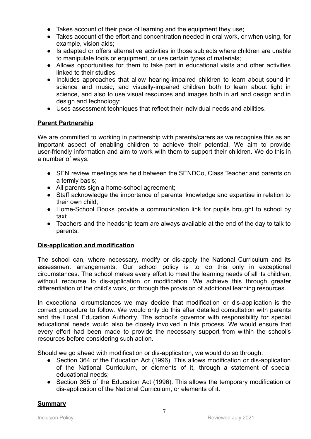- Takes account of their pace of learning and the equipment they use;
- Takes account of the effort and concentration needed in oral work, or when using, for example, vision aids;
- Is adapted or offers alternative activities in those subjects where children are unable to manipulate tools or equipment, or use certain types of materials;
- Allows opportunities for them to take part in educational visits and other activities linked to their studies;
- Includes approaches that allow hearing-impaired children to learn about sound in science and music, and visually-impaired children both to learn about light in science, and also to use visual resources and images both in art and design and in design and technology;
- Uses assessment techniques that reflect their individual needs and abilities.

#### **Parent Partnership**

We are committed to working in partnership with parents/carers as we recognise this as an important aspect of enabling children to achieve their potential. We aim to provide user-friendly information and aim to work with them to support their children. We do this in a number of ways:

- SEN review meetings are held between the SENDCo, Class Teacher and parents on a termly basis;
- All parents sign a home-school agreement;
- Staff acknowledge the importance of parental knowledge and expertise in relation to their own child;
- Home-School Books provide a communication link for pupils brought to school by taxi;
- Teachers and the headship team are always available at the end of the day to talk to parents.

#### **Dis-application and modification**

The school can, where necessary, modify or dis-apply the National Curriculum and its assessment arrangements. Our school policy is to do this only in exceptional circumstances. The school makes every effort to meet the learning needs of all its children, without recourse to dis-application or modification. We achieve this through greater differentiation of the child's work, or through the provision of additional learning resources.

In exceptional circumstances we may decide that modification or dis-application is the correct procedure to follow. We would only do this after detailed consultation with parents and the Local Education Authority. The school's governor with responsibility for special educational needs would also be closely involved in this process. We would ensure that every effort had been made to provide the necessary support from within the school's resources before considering such action.

Should we go ahead with modification or dis-application, we would do so through:

- Section 364 of the Education Act (1996). This allows modification or dis-application of the National Curriculum, or elements of it, through a statement of special educational needs;
- Section 365 of the Education Act (1996). This allows the temporary modification or dis-application of the National Curriculum, or elements of it.

# **Summary**